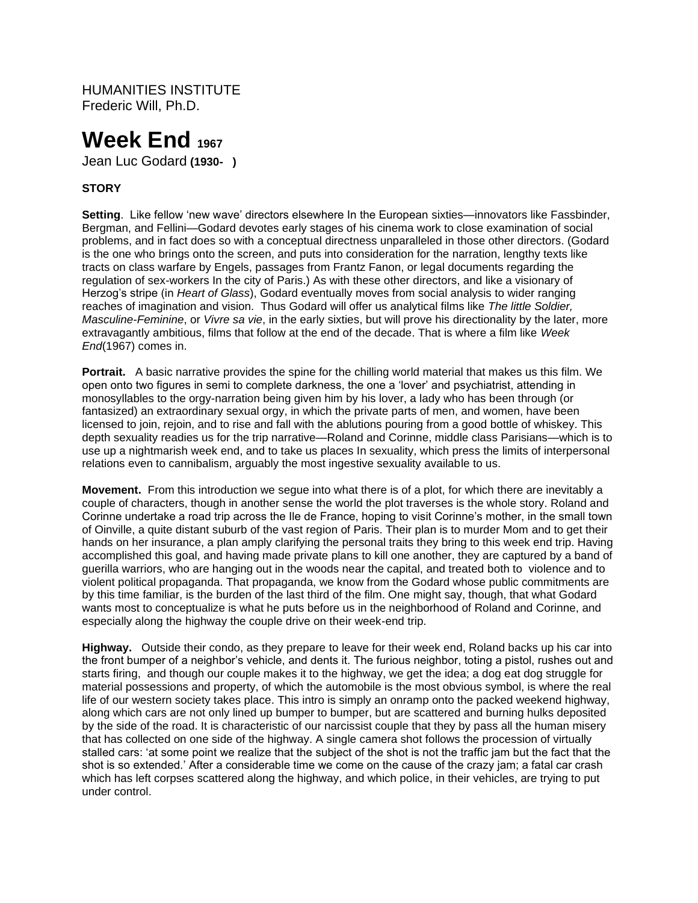HUMANITIES INSTITUTE Frederic Will, Ph.D.

# **Week End<sup>1967</sup>**

Jean Luc Godard **(1930- )**

# **STORY**

**Setting**. Like fellow 'new wave' directors elsewhere In the European sixties—innovators like Fassbinder, Bergman, and Fellini—Godard devotes early stages of his cinema work to close examination of social problems, and in fact does so with a conceptual directness unparalleled in those other directors. (Godard is the one who brings onto the screen, and puts into consideration for the narration, lengthy texts like tracts on class warfare by Engels, passages from Frantz Fanon, or legal documents regarding the regulation of sex-workers In the city of Paris.) As with these other directors, and like a visionary of Herzog's stripe (in *Heart of Glass*), Godard eventually moves from social analysis to wider ranging reaches of imagination and vision. Thus Godard will offer us analytical films like *The little Soldier, Masculine-Feminine*, or *Vivre sa vie*, in the early sixties, but will prove his directionality by the later, more extravagantly ambitious, films that follow at the end of the decade. That is where a film like *Week End*(1967) comes in.

**Portrait.** A basic narrative provides the spine for the chilling world material that makes us this film. We open onto two figures in semi to complete darkness, the one a 'lover' and psychiatrist, attending in monosyllables to the orgy-narration being given him by his lover, a lady who has been through (or fantasized) an extraordinary sexual orgy, in which the private parts of men, and women, have been licensed to join, rejoin, and to rise and fall with the ablutions pouring from a good bottle of whiskey. This depth sexuality readies us for the trip narrative—Roland and Corinne, middle class Parisians—which is to use up a nightmarish week end, and to take us places In sexuality, which press the limits of interpersonal relations even to cannibalism, arguably the most ingestive sexuality available to us.

**Movement.** From this introduction we segue into what there is of a plot, for which there are inevitably a couple of characters, though in another sense the world the plot traverses is the whole story. Roland and Corinne undertake a road trip across the Ile de France, hoping to visit Corinne's mother, in the small town of Oinville, a quite distant suburb of the vast region of Paris. Their plan is to murder Mom and to get their hands on her insurance, a plan amply clarifying the personal traits they bring to this week end trip. Having accomplished this goal, and having made private plans to kill one another, they are captured by a band of guerilla warriors, who are hanging out in the woods near the capital, and treated both to violence and to violent political propaganda. That propaganda, we know from the Godard whose public commitments are by this time familiar, is the burden of the last third of the film. One might say, though, that what Godard wants most to conceptualize is what he puts before us in the neighborhood of Roland and Corinne, and especially along the highway the couple drive on their week-end trip.

**Highway.** Outside their condo, as they prepare to leave for their week end, Roland backs up his car into the front bumper of a neighbor's vehicle, and dents it. The furious neighbor, toting a pistol, rushes out and starts firing, and though our couple makes it to the highway, we get the idea; a dog eat dog struggle for material possessions and property, of which the automobile is the most obvious symbol, is where the real life of our western society takes place. This intro is simply an onramp onto the packed weekend highway, along which cars are not only lined up bumper to bumper, but are scattered and burning hulks deposited by the side of the road. It is characteristic of our narcissist couple that they by pass all the human misery that has collected on one side of the highway. A single camera shot follows the procession of virtually stalled cars: 'at some point we realize that the subject of the shot is not the traffic jam but the fact that the shot is so extended.' After a considerable time we come on the cause of the crazy jam; a fatal car crash which has left corpses scattered along the highway, and which police, in their vehicles, are trying to put under control.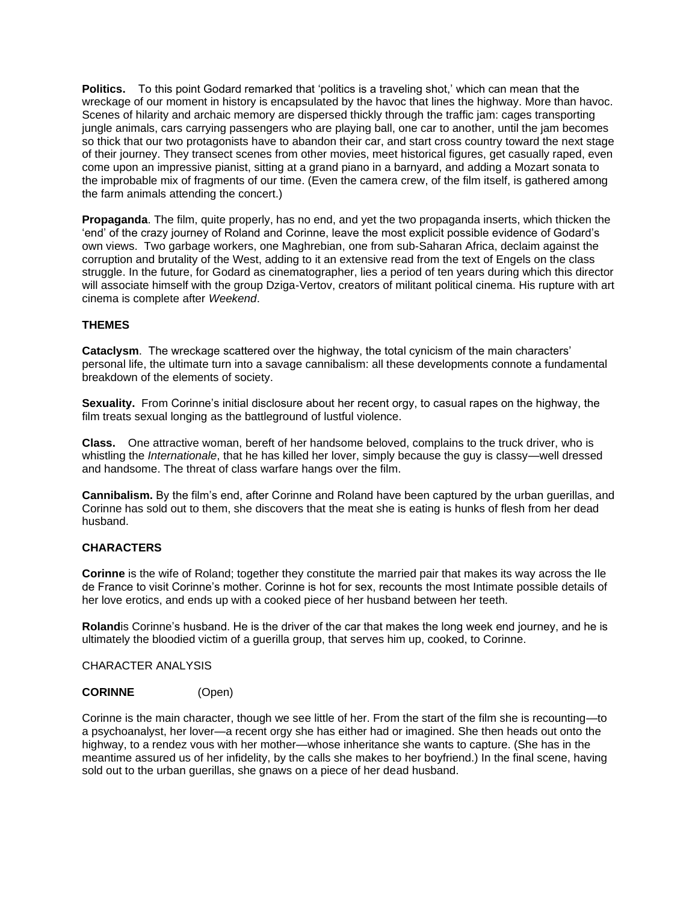**Politics.** To this point Godard remarked that 'politics is a traveling shot,' which can mean that the wreckage of our moment in history is encapsulated by the havoc that lines the highway. More than havoc. Scenes of hilarity and archaic memory are dispersed thickly through the traffic jam: cages transporting jungle animals, cars carrying passengers who are playing ball, one car to another, until the jam becomes so thick that our two protagonists have to abandon their car, and start cross country toward the next stage of their journey. They transect scenes from other movies, meet historical figures, get casually raped, even come upon an impressive pianist, sitting at a grand piano in a barnyard, and adding a Mozart sonata to the improbable mix of fragments of our time. (Even the camera crew, of the film itself, is gathered among the farm animals attending the concert.)

**Propaganda**. The film, quite properly, has no end, and yet the two propaganda inserts, which thicken the 'end' of the crazy journey of Roland and Corinne, leave the most explicit possible evidence of Godard's own views. Two garbage workers, one Maghrebian, one from sub-Saharan Africa, declaim against the corruption and brutality of the West, adding to it an extensive read from the text of Engels on the class struggle. In the future, for Godard as cinematographer, lies a period of ten years during which this director will associate himself with the group Dziga-Vertov, creators of militant political cinema. His rupture with art cinema is complete after *Weekend*.

# **THEMES**

**Cataclysm**. The wreckage scattered over the highway, the total cynicism of the main characters' personal life, the ultimate turn into a savage cannibalism: all these developments connote a fundamental breakdown of the elements of society.

**Sexuality.** From Corinne's initial disclosure about her recent orgy, to casual rapes on the highway, the film treats sexual longing as the battleground of lustful violence.

**Class.** One attractive woman, bereft of her handsome beloved, complains to the truck driver, who is whistling the *Internationale*, that he has killed her lover, simply because the guy is classy—well dressed and handsome. The threat of class warfare hangs over the film.

**Cannibalism.** By the film's end, after Corinne and Roland have been captured by the urban guerillas, and Corinne has sold out to them, she discovers that the meat she is eating is hunks of flesh from her dead husband.

## **CHARACTERS**

**Corinne** is the wife of Roland; together they constitute the married pair that makes its way across the Ile de France to visit Corinne's mother. Corinne is hot for sex, recounts the most Intimate possible details of her love erotics, and ends up with a cooked piece of her husband between her teeth.

**Roland**is Corinne's husband. He is the driver of the car that makes the long week end journey, and he is ultimately the bloodied victim of a guerilla group, that serves him up, cooked, to Corinne.

## CHARACTER ANALYSIS

#### **CORINNE** (Open)

Corinne is the main character, though we see little of her. From the start of the film she is recounting—to a psychoanalyst, her lover—a recent orgy she has either had or imagined. She then heads out onto the highway, to a rendez vous with her mother—whose inheritance she wants to capture. (She has in the meantime assured us of her infidelity, by the calls she makes to her boyfriend.) In the final scene, having sold out to the urban guerillas, she gnaws on a piece of her dead husband.